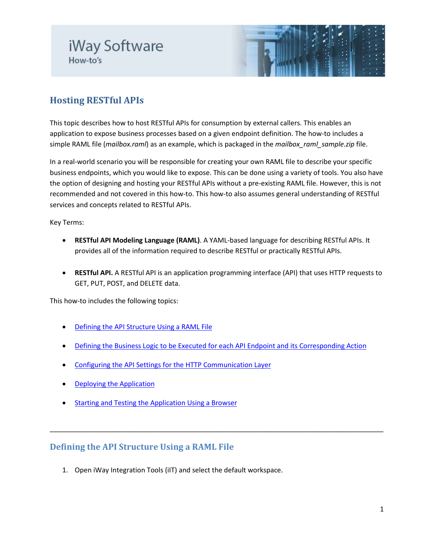# iWay Software How-to's



## **Hosting RESTful APIs**

This topic describes how to host RESTful APIs for consumption by external callers. This enables an application to expose business processes based on a given endpoint definition. The how-to includes a simple RAML file (*mailbox.raml*) as an example, which is packaged in the *mailbox\_raml\_sample.zip* file.

In a real-world scenario you will be responsible for creating your own RAML file to describe your specific business endpoints, which you would like to expose. This can be done using a variety of tools. You also have the option of designing and hosting your RESTful APIs without a pre-existing RAML file. However, this is not recommended and not covered in this how-to. This how-to also assumes general understanding of RESTful services and concepts related to RESTful APIs.

Key Terms:

- **RESTful API Modeling Language (RAML)**. A YAML-based language for describing RESTful APIs. It provides all of the information required to describe RESTful or practically RESTful APIs.
- **RESTful API.** A RESTful API is an application programming interface [\(API\)](http://searchexchange.techtarget.com/definition/application-program-interface) that uses [HTTP](http://searchwindevelopment.techtarget.com/definition/HTTP) requests to GET, PUT, POST, and DELETE data.

This how-to includes the following topics:

- [Defining the API Structure Using a RAML File](#page-0-0)
- [Defining the Business Logic to be Executed for each API Endpoint and its Corresponding Action](#page-3-0)

\_\_\_\_\_\_\_\_\_\_\_\_\_\_\_\_\_\_\_\_\_\_\_\_\_\_\_\_\_\_\_\_\_\_\_\_\_\_\_\_\_\_\_\_\_\_\_\_\_\_\_\_\_\_\_\_\_\_\_\_\_\_\_\_\_\_\_\_\_\_\_\_\_\_\_\_\_\_\_\_\_\_\_\_\_\_\_\_

- [Configuring the API Settings for the HTTP Communication Layer](#page-5-0)
- [Deploying the Application](#page-6-0)
- **[Starting and Testing the Application Using a Browser](#page-8-0)**

#### <span id="page-0-0"></span>**Defining the API Structure Using a RAML File**

1. Open iWay Integration Tools (iIT) and select the default workspace.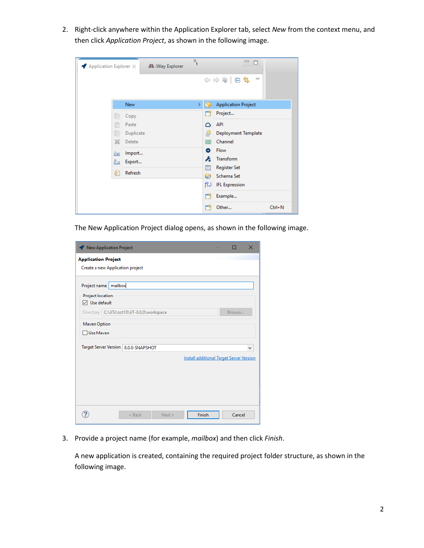2. Right-click anywhere within the Application Explorer tab, select *New* from the context menu, and then click *Application Project*, as shown in the following image.

| Application Explorer X |            | A iWay Explorer | $\frac{1}{2}$ |    | $\qquad \qquad \Box$<br>Ħ              |            |
|------------------------|------------|-----------------|---------------|----|----------------------------------------|------------|
|                        |            |                 |               |    | ◆ ⇒ @   日乌<br>$\overline{\phantom{0}}$ |            |
|                        | <b>New</b> |                 | Y.            | re | <b>Application Project</b>             |            |
| IB                     | Copy       |                 |               |    | Project                                |            |
| r                      | Paste      |                 |               | ۵  | API                                    |            |
| le                     | Duplicate  |                 |               | 卣  | Deployment Template                    |            |
| x                      | Delete     |                 |               | ≡  | Channel                                |            |
| 函                      | Import     |                 |               | ۰  | Flow                                   |            |
| Ò1                     | Export     |                 |               | Ŀ  | Transform                              |            |
| \$]                    | Refresh    |                 |               | Ē  | <b>Register Set</b>                    |            |
|                        |            |                 |               | a  | Schema Set                             |            |
|                        |            |                 |               | fW | <b>IFL Expression</b>                  |            |
|                        |            |                 |               | M  | Example                                |            |
|                        |            |                 |               |    | Other                                  | $Ctrl + N$ |

The New Application Project dialog opens, as shown in the following image.

| New Application Project                                                                                                  |                                                 | $\times$ |
|--------------------------------------------------------------------------------------------------------------------------|-------------------------------------------------|----------|
| <b>Application Project</b>                                                                                               |                                                 |          |
| Create a new Application project                                                                                         |                                                 |          |
| Project name   mailbox<br><b>Project location</b><br>$\nabla$ Use default<br>Directory C:\ilTs\oct10\ilT-8.0.0\workspace | Browse                                          |          |
| Maven Option<br>□ Use Maven                                                                                              |                                                 |          |
| Target Server Version   8.0.0-SNAPSHOT                                                                                   |                                                 | v        |
|                                                                                                                          | <b>Install additional Target Server Version</b> |          |
|                                                                                                                          |                                                 |          |
|                                                                                                                          |                                                 |          |
|                                                                                                                          |                                                 |          |
|                                                                                                                          |                                                 |          |
| $<$ Back<br>Next >                                                                                                       | Finish<br>Cancel                                |          |

3. Provide a project name (for example, *mailbox*) and then click *Finish*.

A new application is created, containing the required project folder structure, as shown in the following image.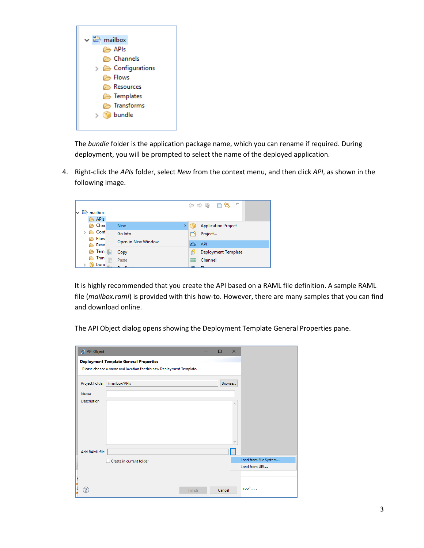

The *bundle* folder is the application package name, which you can rename if required. During deployment, you will be prompted to select the name of the deployed application.

4. Right-click the *APIs* folder, select *New* from the context menu, and then click *API*, as shown in the following image.



It is highly recommended that you create the API based on a RAML file definition. A sample RAML file (*mailbox.raml*) is provided with this how-to. However, there are many samples that you can find and download online.

The API Object dialog opens showing the Deployment Template General Properties pane.

| API Object           |                                                                                                                      | □      | $\times$     |                       |
|----------------------|----------------------------------------------------------------------------------------------------------------------|--------|--------------|-----------------------|
|                      | <b>Deployment Template General Properties</b><br>Please choose a name and location for this new Deployment Template. |        |              |                       |
| Project Folder       | /mailbox/APIs                                                                                                        | Browse |              |                       |
| Name                 |                                                                                                                      |        |              |                       |
| Description          |                                                                                                                      |        | ۸            |                       |
|                      |                                                                                                                      |        |              |                       |
|                      |                                                                                                                      |        |              |                       |
|                      |                                                                                                                      |        |              |                       |
|                      |                                                                                                                      |        |              |                       |
| <b>Add RAML file</b> |                                                                                                                      |        | $\mathbf{m}$ | Load from File System |
|                      | Create in current folder                                                                                             |        |              | Load from URL         |
|                      |                                                                                                                      |        |              |                       |
| ?                    | Finish                                                                                                               | Cancel |              | $app'.$               |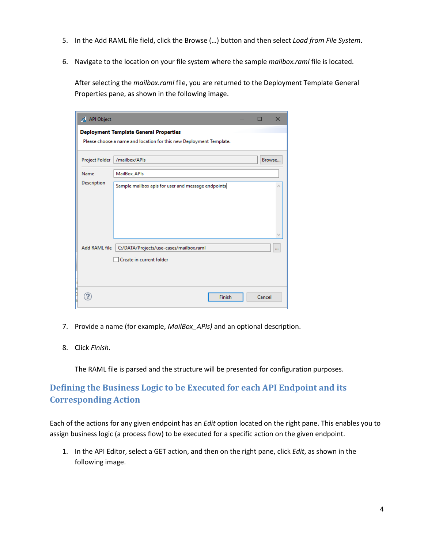- 5. In the Add RAML file field, click the Browse (…) button and then select *Load from File System*.
- 6. Navigate to the location on your file system where the sample *mailbox.raml* file is located.

After selecting the *mailbox.raml* file, you are returned to the Deployment Template General Properties pane, as shown in the following image.

| API Object         |                                                                     | ⊓      | $\times$ |
|--------------------|---------------------------------------------------------------------|--------|----------|
|                    | <b>Deployment Template General Properties</b>                       |        |          |
|                    | Please choose a name and location for this new Deployment Template. |        |          |
| Project Folder     | /mailbox/APIs                                                       |        | Browse   |
| Name               | MailBox_APIs                                                        |        |          |
| Description        | Sample mailbox apis for user and message endpoints                  |        |          |
| Add RAML file<br>F | C:/DATA/Projects/use-cases/mailbox.raml<br>Create in current folder |        | $\cdots$ |
| n                  | Finish                                                              | Cancel |          |

- 7. Provide a name (for example, *MailBox\_APIs)* and an optional description.
- 8. Click *Finish*.

The RAML file is parsed and the structure will be presented for configuration purposes.

### <span id="page-3-0"></span>**Defining the Business Logic to be Executed for each API Endpoint and its Corresponding Action**

Each of the actions for any given endpoint has an *Edit* option located on the right pane. This enables you to assign business logic (a process flow) to be executed for a specific action on the given endpoint.

1. In the API Editor, select a GET action, and then on the right pane, click *Edit*, as shown in the following image.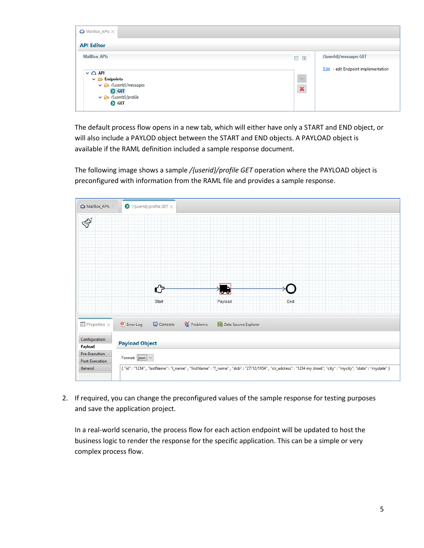

The default process flow opens in a new tab, which will either have only a START and END object, or will also include a PAYLOD object between the START and END objects. A PAYLOAD object is available if the RAML definition included a sample response document.

The following image shows a sample */{userid}/profile GET* operation where the PAYLOAD object is preconfigured with information from the RAML file and provides a sample response.



2. If required, you can change the preconfigured values of the sample response for testing purposes and save the application project.

In a real-world scenario, the process flow for each action endpoint will be updated to host the business logic to render the response for the specific application. This can be a simple or very complex process flow.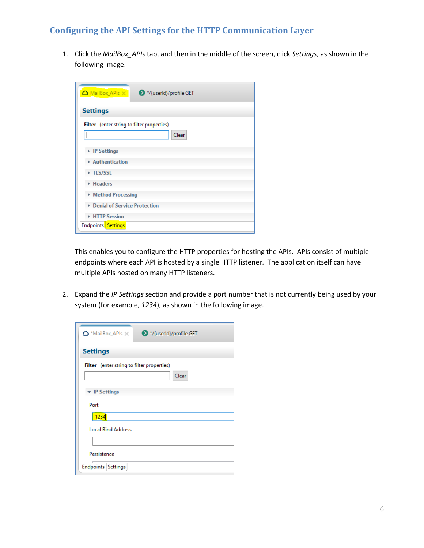#### <span id="page-5-0"></span>**Configuring the API Settings for the HTTP Communication Layer**

1. Click the *MailBox\_APIs* tab, and then in the middle of the screen, click *Settings*, as shown in the following image.

| MailBox APIs X<br>◆ */{userId}/profile GET          |
|-----------------------------------------------------|
| <b>Settings</b>                                     |
| Filter (enter string to filter properties)<br>Clear |
| ▶ IP Settings                                       |
| Authentication                                      |
| TLS/SSL                                             |
| Headers                                             |
| Method Processing                                   |
| <b>Denial of Service Protection</b>                 |
| <b>HTTP Session</b>                                 |
| Endpoints Settings                                  |

This enables you to configure the HTTP properties for hosting the APIs. APIs consist of multiple endpoints where each API is hosted by a single HTTP listener. The application itself can have multiple APIs hosted on many HTTP listeners.

2. Expand the *IP Settings* section and provide a port number that is not currently being used by your system (for example, *1234*), as shown in the following image.

| ◆ */{userId}/profile GET<br>$\Delta$ *MailBox APIs $\times$ |
|-------------------------------------------------------------|
| <b>Settings</b>                                             |
| Filter (enter string to filter properties)<br>Clear         |
| ▼ IP Settings                                               |
| Port                                                        |
| 1234                                                        |
| <b>Local Bind Address</b>                                   |
|                                                             |
| Persistence                                                 |
| Endpoints Settings                                          |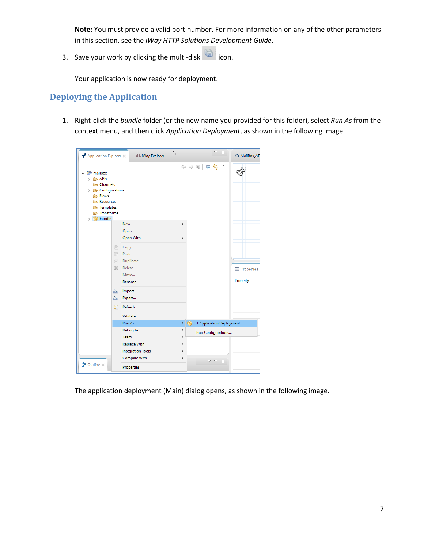**Note:** You must provide a valid port number. For more information on any of the other parameters in this section, see the *iWay HTTP Solutions Development Guide*.

3. Save your work by clicking the multi-disk  $\overline{\mathbb{R}}$  icon.

Your application is now ready for deployment.

#### <span id="page-6-0"></span>**Deploying the Application**

1. Right-click the *bundle* folder (or the new name you provided for this folder), select *Run As* from the context menu, and then click *Application Deployment*, as shown in the following image.



The application deployment (Main) dialog opens, as shown in the following image.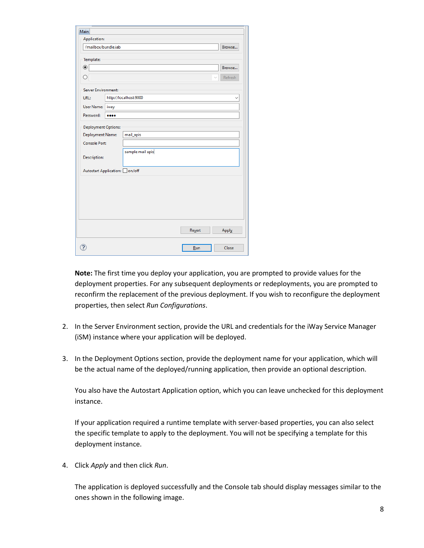| <b>Application:</b>                            |      |                       |         |
|------------------------------------------------|------|-----------------------|---------|
| /mailbox/bundle.iab                            |      |                       | Browse  |
| Template:                                      |      |                       |         |
| $\circledcirc$                                 |      |                       | Browse  |
| ∩                                              |      |                       | Refresh |
| Server Environment:                            |      |                       |         |
| URL:                                           |      | http://localhost:9000 |         |
| User Name:                                     | iway |                       |         |
| Password:                                      |      |                       |         |
| <b>Deployment Options:</b><br>Deployment Name: |      | mail_apis             |         |
| <b>Console Port:</b>                           |      |                       |         |
| <b>Description:</b>                            |      | sample mail apis      |         |
| Autostart Application: On/off                  |      |                       |         |
|                                                |      |                       |         |
|                                                |      |                       |         |
|                                                |      |                       |         |
|                                                |      |                       |         |
|                                                |      |                       |         |
|                                                |      | Revert                | Apply   |
|                                                |      |                       |         |

**Note:** The first time you deploy your application, you are prompted to provide values for the deployment properties. For any subsequent deployments or redeployments, you are prompted to reconfirm the replacement of the previous deployment. If you wish to reconfigure the deployment properties, then select *Run Configurations*.

- 2. In the Server Environment section, provide the URL and credentials for the iWay Service Manager (iSM) instance where your application will be deployed.
- 3. In the Deployment Options section, provide the deployment name for your application, which will be the actual name of the deployed/running application, then provide an optional description.

You also have the Autostart Application option, which you can leave unchecked for this deployment instance.

If your application required a runtime template with server-based properties, you can also select the specific template to apply to the deployment. You will not be specifying a template for this deployment instance.

4. Click *Apply* and then click *Run*.

The application is deployed successfully and the Console tab should display messages similar to the ones shown in the following image.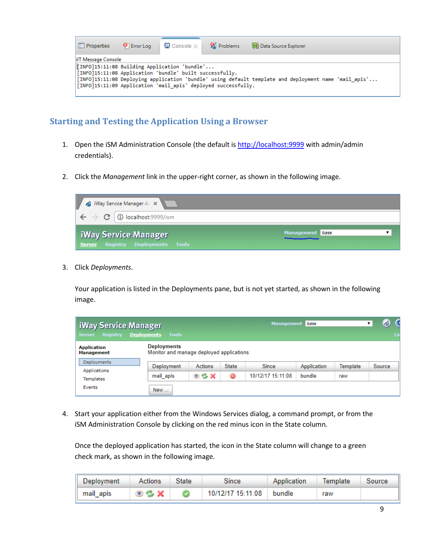| $\Box$ Properties                                                    | <b>O</b> Error Log                                                                                                                                                                                                               | $\Box$ Console $\times$   $\Box$ Problems |  | Data Source Explorer |  |  |  |  |
|----------------------------------------------------------------------|----------------------------------------------------------------------------------------------------------------------------------------------------------------------------------------------------------------------------------|-------------------------------------------|--|----------------------|--|--|--|--|
| lilT Message Console<br>TINFO]15:11:08 Building Application 'bundle' |                                                                                                                                                                                                                                  |                                           |  |                      |  |  |  |  |
|                                                                      | [INFO]15:11:08 Application 'bundle' built successfully.<br>[INFO]15:11:08 Deploying application 'bundle' using default template and deployment name 'mail apis'<br>[INFO]15:11:09 Application 'mail apis' deployed successfully. |                                           |  |                      |  |  |  |  |

#### <span id="page-8-0"></span>**Starting and Testing the Application Using a Browser**

- 1. Open the iSM Administration Console (the default is [http://localhost:9999](http://localhost:9999/) with admin/admin credentials).
- 2. Click the *Management* link in the upper-right corner, as shown in the following image.



3. Click *Deployments*.

Your application is listed in the Deployments pane, but is not yet started, as shown in the following image.

| <b>iWay Service Manager</b><br><b>Registry</b><br><b>Server</b> | <b>Deployments</b> Tools                                       |                    |              | <b>Management</b> | base        |                 | C<br>$\Delta$<br>▼<br>Lic |
|-----------------------------------------------------------------|----------------------------------------------------------------|--------------------|--------------|-------------------|-------------|-----------------|---------------------------|
| <b>Application</b><br><b>Management</b>                         | <b>Deployments</b><br>Monitor and manage deployed applications |                    |              |                   |             |                 |                           |
| Deployments<br>Applications                                     | Deployment                                                     | <b>Actions</b>     | <b>State</b> | <b>Since</b>      | Application | <b>Template</b> | Source                    |
| Templates                                                       | mail apis                                                      | $\circ$ % $\times$ | ⊜            | 10/12/17 15:11:08 | bundle      | raw             |                           |
| Events                                                          | New                                                            |                    |              |                   |             |                 |                           |

4. Start your application either from the Windows Services dialog, a command prompt, or from the iSM Administration Console by clicking on the red minus icon in the State column.

Once the deployed application has started, the icon in the State column will change to a green check mark, as shown in the following image.

| Deployment | Actions | State | Since                    | Application | Template | Source |
|------------|---------|-------|--------------------------|-------------|----------|--------|
| mail apis  | DSX.    |       | 10/12/17 15:11:08 bundle |             | raw      |        |